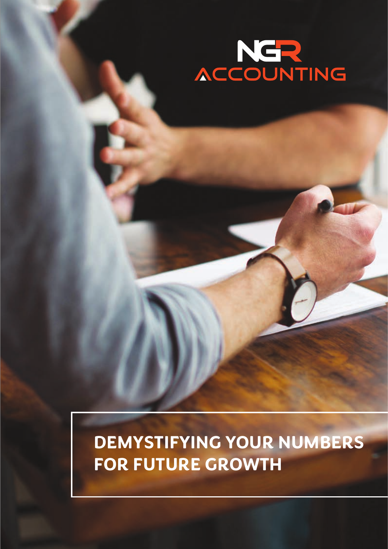

### **DEMYSTIFYING YOUR NUMBERS FOR FUTURE GROWTH**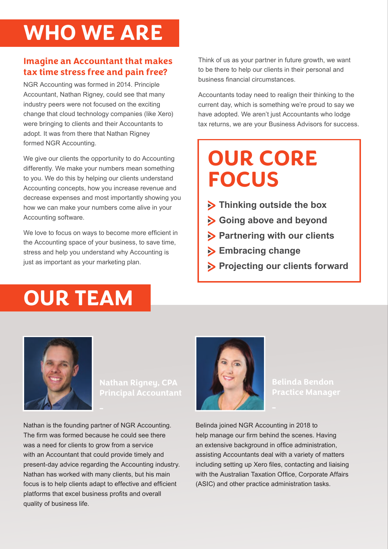# **WHO WE ARE**

### **Imagine an Accountant that makes tax time stress free and pain free?**

NGR Accounting was formed in 2014. Principle Accountant, Nathan Rigney, could see that many industry peers were not focused on the exciting change that cloud technology companies (like Xero) were bringing to clients and their Accountants to adopt. It was from there that Nathan Rigney formed NGR Accounting.

We give our clients the opportunity to do Accounting differently. We make your numbers mean something to you. We do this by helping our clients understand Accounting concepts, how you increase revenue and decrease expenses and most importantly showing you how we can make your numbers come alive in your Accounting software.

We love to focus on ways to become more efficient in the Accounting space of your business, to save time, stress and help you understand why Accounting is just as important as your marketing plan.

**OUR TEAM**

Think of us as your partner in future growth, we want to be there to help our clients in their personal and business financial circumstances.

Accountants today need to realign their thinking to the current day, which is something we're proud to say we have adopted. We aren't just Accountants who lodge tax returns, we are your Business Advisors for success.

### **OUR CORE FOCUS**

- **Thinking outside the box**
- **Going above and beyond**
- **Partnering with our clients**
- **Embracing change**
- **Projecting our clients forward**



**Principal Accountant**

Nathan is the founding partner of NGR Accounting. The firm was formed because he could see there was a need for clients to grow from a service with an Accountant that could provide timely and present-day advice regarding the Accounting industry. Nathan has worked with many clients, but his main focus is to help clients adapt to effective and efficient platforms that excel business profits and overall quality of business life.



**Belinda Bendon**

Belinda joined NGR Accounting in 2018 to help manage our firm behind the scenes. Having an extensive background in office administration, assisting Accountants deal with a variety of matters including setting up Xero files, contacting and liaising with the Australian Taxation Office, Corporate Affairs (ASIC) and other practice administration tasks.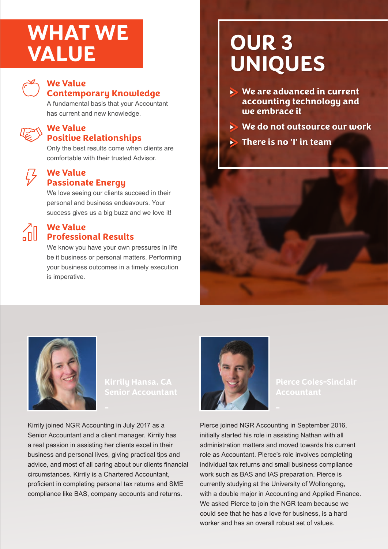# **WHAT WE**



#### **We Value Contemporary Knowledge**

A fundamental basis that your Accountant has current and new knowledge.

### **We Value Positive Relationships**

Only the best results come when clients are comfortable with their trusted Advisor.

### **We Value Passionate Energy**

We love seeing our clients succeed in their personal and business endeavours. Your success gives us a big buzz and we love it!



### **We Value Professional Results**

We know you have your own pressures in life be it business or personal matters. Performing your business outcomes in a timely execution is imperative.

### **VALUE OUR 3 UNIQUES**

- **We are advanced in current accounting technology and we embrace it**
- **We do not outsource our work**
- **There is no 'I' in team**





Kirrily joined NGR Accounting in July 2017 as a Senior Accountant and a client manager. Kirrily has a real passion in assisting her clients excel in their business and personal lives, giving practical tips and advice, and most of all caring about our clients financial circumstances. Kirrily is a Chartered Accountant, proficient in completing personal tax returns and SME compliance like BAS, company accounts and returns.



**Pierce Coles-Sinclair**

Pierce joined NGR Accounting in September 2016, initially started his role in assisting Nathan with all administration matters and moved towards his current role as Accountant. Pierce's role involves completing individual tax returns and small business compliance work such as BAS and IAS preparation. Pierce is currently studying at the University of Wollongong, with a double major in Accounting and Applied Finance. We asked Pierce to join the NGR team because we could see that he has a love for business, is a hard worker and has an overall robust set of values.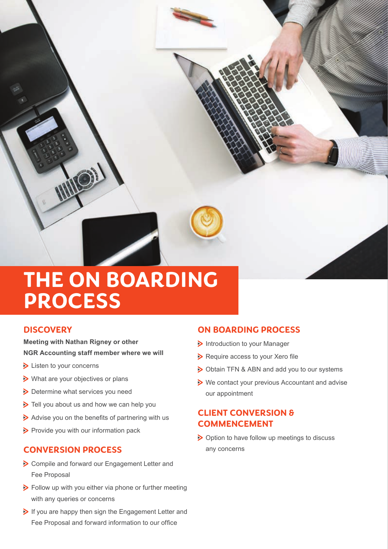

### **THE ON BOARDING PROCESS**

### **DISCOVERY**

**Meeting with Nathan Rigney or other NGR Accounting staff member where we will**

- **Example 1** Listen to your concerns
- What are your objectives or plans
- Determine what services you need
- Tell you about us and how we can help you
- $\triangleright$  Advise you on the benefits of partnering with us
- $\triangleright$  Provide you with our information pack

### **CONVERSION PROCESS**

- Compile and forward our Engagement Letter and Fee Proposal
- **>** Follow up with you either via phone or further meeting with any queries or concerns
- If you are happy then sign the Engagement Letter and Fee Proposal and forward information to our office

### **ON BOARDING PROCESS**

- Introduction to your Manager
- $\triangleright$  Require access to your Xero file
- > Obtain TFN & ABN and add you to our systems
- ▶ We contact your previous Accountant and advise our appointment

### **CLIENT CONVERSION & COMMENCEMENT**

▶ Option to have follow up meetings to discuss any concerns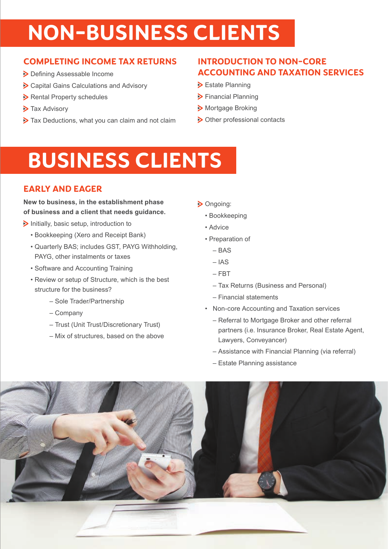# **NON-BUSINESS CLIENTS**

### **COMPLETING INCOME TAX RETURNS**

- > Defining Assessable Income
- Capital Gains Calculations and Advisory
- Rental Property schedules
- > Tax Advisory
- $\triangleright$  Tax Deductions, what you can claim and not claim

### **INTRODUCTION TO NON-CORE ACCOUNTING AND TAXATION SERVICES**

- **>** Estate Planning
- > Financial Planning
- Mortgage Broking
- > Other professional contacts

# **BUSINESS CLIENTS**

### **EARLY AND EAGER**

#### **New to business, in the establishment phase of business and a client that needs guidance.**

- $\triangleright$  Initially, basic setup, introduction to
	- Bookkeeping (Xero and Receipt Bank)
	- Quarterly BAS; includes GST, PAYG Withholding, PAYG, other instalments or taxes
	- Software and Accounting Training
	- Review or setup of Structure, which is the best structure for the business?
		- Sole Trader/Partnership
		- Company
		- Trust (Unit Trust/Discretionary Trust)
		- Mix of structures, based on the above
- > Ongoing:
	- Bookkeeping
	- Advice
	- Preparation of
		- BAS
		- IAS
		- FBT
		- Tax Returns (Business and Personal)
		- Financial statements
	- Non-core Accounting and Taxation services
		- Referral to Mortgage Broker and other referral partners (i.e. Insurance Broker, Real Estate Agent, Lawyers, Conveyancer)
		- Assistance with Financial Planning (via referral)
		- Estate Planning assistance

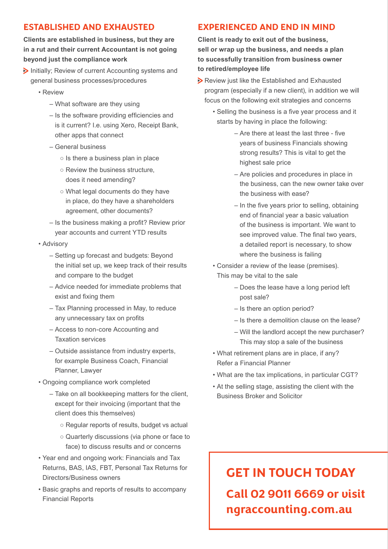### **ESTABLISHED AND EXHAUSTED**

**Clients are established in business, but they are in a rut and their current Accountant is not going beyond just the compliance work**

- $\triangleright$  Initially; Review of current Accounting systems and general business processes/procedures
	- Review
		- What software are they using
		- Is the software providing efficiencies and is it current? I.e. using Xero, Receipt Bank, other apps that connect
		- General business
			- $\circ$  Is there a business plan in place
			- Review the business structure, does it need amending?
			- What legal documents do they have in place, do they have a shareholders agreement, other documents?
		- Is the business making a profit? Review prior year accounts and current YTD results
	- Advisory
		- Setting up forecast and budgets: Beyond the initial set up, we keep track of their results and compare to the budget
		- Advice needed for immediate problems that exist and fixing them
		- Tax Planning processed in May, to reduce any unnecessary tax on profits
		- Access to non-core Accounting and Taxation services
		- Outside assistance from industry experts, for example Business Coach, Financial Planner, Lawyer
	- Ongoing compliance work completed
		- Take on all bookkeeping matters for the client, except for their invoicing (important that the client does this themselves)
			- Regular reports of results, budget vs actual
			- Quarterly discussions (via phone or face to face) to discuss results and or concerns
	- Year end and ongoing work: Financials and Tax Returns, BAS, IAS, FBT, Personal Tax Returns for Directors/Business owners
	- Basic graphs and reports of results to accompany Financial Reports

### **EXPERIENCED AND END IN MIND**

**Client is ready to exit out of the business, sell or wrap up the business, and needs a plan to sucessfully transition from business owner to retired/employee life**

- Review just like the Established and Exhausted program (especially if a new client), in addition we will focus on the following exit strategies and concerns
	- Selling the business is a five year process and it starts by having in place the following:
		- Are there at least the last three five years of business Financials showing strong results? This is vital to get the highest sale price
		- Are policies and procedures in place in the business, can the new owner take over the business with ease?
		- In the five years prior to selling, obtaining end of financial year a basic valuation of the business is important. We want to see improved value. The final two years, a detailed report is necessary, to show where the business is failing
	- Consider a review of the lease (premises). This may be vital to the sale
		- Does the lease have a long period left post sale?
		- Is there an option period?
		- Is there a demolition clause on the lease?
		- Will the landlord accept the new purchaser? This may stop a sale of the business
	- What retirement plans are in place, if any? Refer a Financial Planner
	- What are the tax implications, in particular CGT?
	- At the selling stage, assisting the client with the Business Broker and Solicitor

### **GET IN TOUCH TODAY Call 02 9011 6669 or visit ngraccounting.com.au**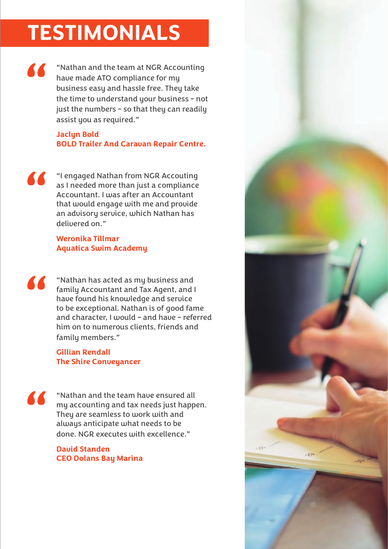# **TESTIMONIALS**

" "Nathan and the team at NGR Accounting have made ATO compliance for my business easy and hassle free. They take the time to understand your business - not just the numbers - so that they can readily assist you as required."

#### **Jaclyn Bold BOLD Trailer And Caravan Repair Centre.**

**1** engaged Nathan from NGR Accouting<br>as I needed more than just a compliance<br>Accountant. I was after an Accountant<br>that would engage with me and provide<br>an advisory service, which Nathan has as I needed more than just a compliance Accountant. I was after an Accountant that would engage with me and provide an advisory service, which Nathan has delivered on."

### **Weronika Tillmar Aquatica Swim Academy**

**1899 The Contract State Asset State Asset State Asset State Asset State Asset State Asset State Asset State Asset State Asset State Asset Asset Asset Asset Asset Asset Asset Asset Asset Asset Asset Asset Asset Asset Asset** family Accountant and Tax Agent, and I have found his knowledge and service to be exceptional. Nathan is of good fame and character, I would – and have – referred him on to numerous clients, friends and family members."

#### **Gillian Rendall The Shire Conveyancer**

 $\blacksquare$ 

"Nathan and the team have ensured all my accounting and tax needs just happen. They are seamless to work with and always anticipate what needs to be done. NGR executes with excellence."

**David Standen CEO Dolans Bay Marina**